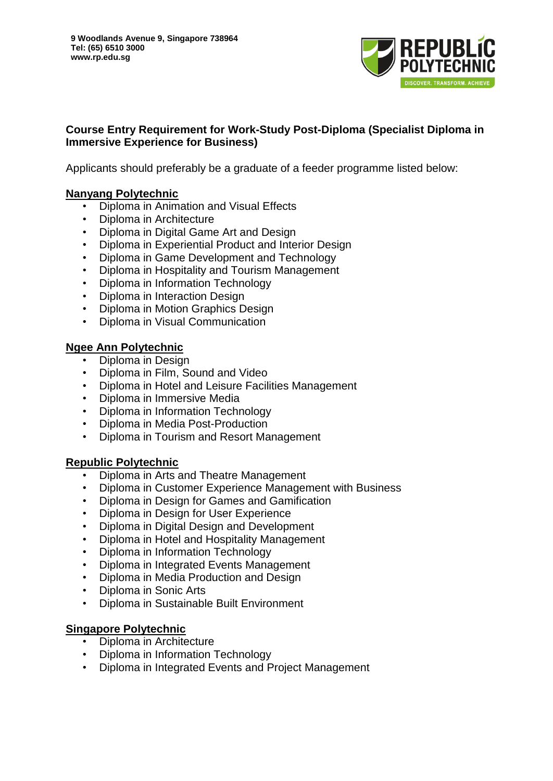

## **Course Entry Requirement for Work-Study Post-Diploma (Specialist Diploma in Immersive Experience for Business)**

Applicants should preferably be a graduate of a feeder programme listed below:

#### **Nanyang Polytechnic**

- Diploma in Animation and Visual Effects
- Diploma in Architecture
- Diploma in Digital Game Art and Design
- Diploma in Experiential Product and Interior Design
- Diploma in Game Development and Technology
- Diploma in Hospitality and Tourism Management
- Diploma in Information Technology
- Diploma in Interaction Design
- Diploma in Motion Graphics Design
- Diploma in Visual Communication

## **Ngee Ann Polytechnic**

- Diploma in Design
- Diploma in Film, Sound and Video
- Diploma in Hotel and Leisure Facilities Management
- Diploma in Immersive Media
- Diploma in Information Technology
- Diploma in Media Post-Production
- Diploma in Tourism and Resort Management

#### **Republic Polytechnic**

- Diploma in Arts and Theatre Management
- Diploma in Customer Experience Management with Business
- Diploma in Design for Games and Gamification
- Diploma in Design for User Experience
- Diploma in Digital Design and Development
- Diploma in Hotel and Hospitality Management
- Diploma in Information Technology
- Diploma in Integrated Events Management
- Diploma in Media Production and Design
- Diploma in Sonic Arts
- Diploma in Sustainable Built Environment

# **Singapore Polytechnic**

- Diploma in Architecture
- Diploma in Information Technology
- Diploma in Integrated Events and Project Management